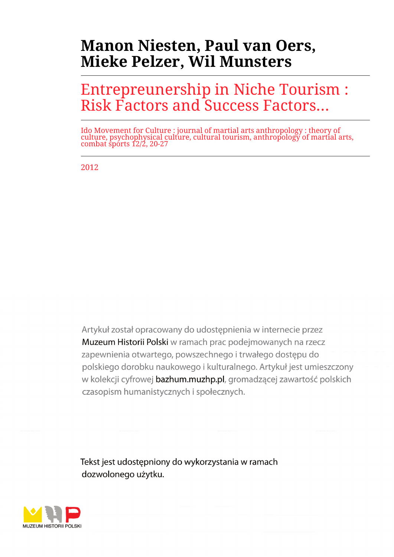# **Manon Niesten, Paul van Oers, Mieke Pelzer, Wil Munsters**

# Entrepreunership in Niche Tourism : Risk Factors and Success Factors...

Ido Movement for Culture : journal of martial arts anthropology : theory of culture, psychophysical culture, cultural tourism, anthropology of martial arts, combat sports 12/2, 20-27

2012

Artykuł został opracowany do udostepnienia w internecie przez Muzeum Historii Polski w ramach prac podejmowanych na rzecz zapewnienia otwartego, powszechnego i trwałego dostępu do polskiego dorobku naukowego i kulturalnego. Artykuł jest umieszczony w kolekcji cyfrowej bazhum.muzhp.pl, gromadzącej zawartość polskich czasopism humanistycznych i społecznych.

Tekst jest udostępniony do wykorzystania w ramach dozwolonego użytku.

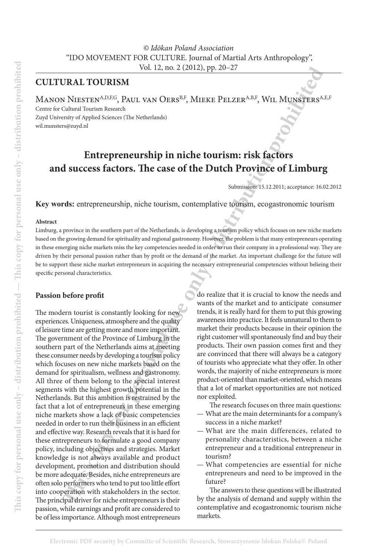*© Idōkan Poland Association* "IDO MOVEMENT FOR CULTURE. Journal of Martial Arts Anthropology", Vol. 12, no. 2 (2012), pp. 20–27

# **Cultural Tourism**

MANON NIESTEN<sup>A,D,F,G</sup>, PAUL VAN OERS<sup>B,F</sup>, MIEKE PELZER<sup>A,B,F</sup>, WIL MUNSTERS<sup>A,E,F</sup> Centre for Cultural Tourism Research

Zuyd University of Applied Sciences (The Netherlands) wil.munsters@zuyd.nl

# **Entrepreneurship in niche tourism: risk factors and success factors. The case of the Dutch Province of Limburg**

Submission: 15.12.2011; acceptance: 16.02.2012

**Key words:** entrepreneurship, niche tourism, contemplative tourism, ecogastronomic tourism

#### **Abstract**

Limburg, a province in the southern part of the Netherlands, is developing a tourism policy which focuses on new niche markets based on the growing demand for spirituality and regional gastronomy. However, the problem is that many entrepreneurs operating in these emerging niche markets miss the key competencies needed in order to run their company in a professional way. They are driven by their personal passion rather than by profit or the demand of the market. An important challenge for the future will be to support these niche market entrepreneurs in acquiring the necessary entrepreneurial competencies without belieing their specific personal characteristics.

#### **Passion before profit**

**THE VOLUATION CONSUMPTIVE AND UP A CONSUMPTED VALUATION CONSUMPTED AND MANUFATURE SCONE IN A CONSUMPTED AND CONSUMPTED AND CONSUMPTED AND CONSUMPTED AND CONSUMPTED AND CONSUMPTED AND CONSUMPTED AND CONSUMPTED AND CONSUMP** The modern tourist is constantly looking for new experiences. Uniqueness, atmosphere and the quality of leisure time are getting more and more important. The government of the Province of Limburg in the southern part of the Netherlands aims at meeting these consumer needs by developing a tourism policy which focuses on new niche markets based on the demand for spiritualism, wellness and gastronomy. All three of them belong to the special interest segments with the highest growth potential in the Netherlands. But this ambition is restrained by the fact that a lot of entrepreneurs in these emerging niche markets show a lack of basic competencies needed in order to run their business in an efficient and effective way. Research reveals that it is hard for these entrepreneurs to formulate a good company policy, including objectives and strategies. Market knowledge is not always available and product development, promotion and distribution should be more adequate. Besides, niche entrepreneurs are often solo performers who tend to put too little effort into cooperation with stakeholders in the sector. The principal driver for niche entrepreneurs is their passion, while earnings and profit are considered to be of less importance. Although most entrepreneurs

do realize that it is crucial to know the needs and wants of the market and to anticipate consumer trends, it is really hard for them to put this growing awareness into practice. It feels unnatural to them to market their products because in their opinion the right customer will spontaneously find and buy their products. Their own passion comes first and they are convinced that there will always be a category of tourists who appreciate what they offer. In other words, the majority of niche entrepreneurs is more product-oriented than market-oriented, which means that a lot of market opportunities are not noticed nor exploited.

The research focuses on three main questions: — What are the main determinants for a company's

- success in a niche market?
- What are the main differences, related to personality characteristics, between a niche entrepreneur and a traditional entrepreneur in tourism?
- What competencies are essential for niche entrepreneurs and need to be improved in the future?

The answers to these questions will be illustrated by the analysis of demand and supply within the contemplative and ecogastronomic tourism niche markets.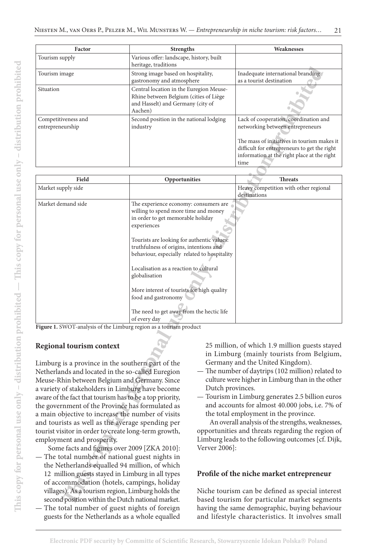| Factor                                  | <b>Strengths</b>                                                                                                                  | Weaknesses                                                                                                                                                                                                                      |  |
|-----------------------------------------|-----------------------------------------------------------------------------------------------------------------------------------|---------------------------------------------------------------------------------------------------------------------------------------------------------------------------------------------------------------------------------|--|
| Tourism supply                          | Various offer: landscape, history, built<br>heritage, traditions                                                                  |                                                                                                                                                                                                                                 |  |
| Tourism image                           | Strong image based on hospitality,<br>gastronomy and atmosphere                                                                   | Inadequate international branding<br>as a tourist destination                                                                                                                                                                   |  |
| Situation                               | Central location in the Euregion Meuse-<br>Rhine between Belgium (cities of Liège<br>and Hasselt) and Germany (city of<br>Aachen) |                                                                                                                                                                                                                                 |  |
| Competitiveness and<br>entrepreneurship | Second position in the national lodging<br>industry                                                                               | Lack of cooperation, coordination and<br>networking between entrepreneurs<br>The mass of initiatives in tourism makes it<br>difficult for entrepreneurs to get the right<br>information at the right place at the right<br>time |  |

|                                                                                                                                                                                                                                                                                                                                                                                                                                                                                                                                                                                                                                                                               | nernage, traditions                                                                                                                                                                                                                                                                                                                                                                                                                                                     |                                                                                                                                                                                                                                                                                                                                                                                                                                                                                                |                                                                                                                                                    |  |
|-------------------------------------------------------------------------------------------------------------------------------------------------------------------------------------------------------------------------------------------------------------------------------------------------------------------------------------------------------------------------------------------------------------------------------------------------------------------------------------------------------------------------------------------------------------------------------------------------------------------------------------------------------------------------------|-------------------------------------------------------------------------------------------------------------------------------------------------------------------------------------------------------------------------------------------------------------------------------------------------------------------------------------------------------------------------------------------------------------------------------------------------------------------------|------------------------------------------------------------------------------------------------------------------------------------------------------------------------------------------------------------------------------------------------------------------------------------------------------------------------------------------------------------------------------------------------------------------------------------------------------------------------------------------------|----------------------------------------------------------------------------------------------------------------------------------------------------|--|
| Tourism image                                                                                                                                                                                                                                                                                                                                                                                                                                                                                                                                                                                                                                                                 | Strong image based on hospitality,<br>gastronomy and atmosphere                                                                                                                                                                                                                                                                                                                                                                                                         |                                                                                                                                                                                                                                                                                                                                                                                                                                                                                                | Inadequate international branding<br>as a tourist destination                                                                                      |  |
| Situation                                                                                                                                                                                                                                                                                                                                                                                                                                                                                                                                                                                                                                                                     | Central location in the Euregion Meuse-<br>Rhine between Belgium (cities of Liège<br>and Hasselt) and Germany (city of<br>Aachen)                                                                                                                                                                                                                                                                                                                                       |                                                                                                                                                                                                                                                                                                                                                                                                                                                                                                |                                                                                                                                                    |  |
| Competitiveness and<br>Second position in the national lodging<br>entrepreneurship<br>industry                                                                                                                                                                                                                                                                                                                                                                                                                                                                                                                                                                                |                                                                                                                                                                                                                                                                                                                                                                                                                                                                         |                                                                                                                                                                                                                                                                                                                                                                                                                                                                                                | Lack of cooperation, coordination and<br>networking between entrepreneurs                                                                          |  |
|                                                                                                                                                                                                                                                                                                                                                                                                                                                                                                                                                                                                                                                                               |                                                                                                                                                                                                                                                                                                                                                                                                                                                                         |                                                                                                                                                                                                                                                                                                                                                                                                                                                                                                | The mass of initiatives in tourism makes it<br>difficult for entrepreneurs to get the right<br>information at the right place at the right<br>time |  |
| Field                                                                                                                                                                                                                                                                                                                                                                                                                                                                                                                                                                                                                                                                         | Opportunities                                                                                                                                                                                                                                                                                                                                                                                                                                                           |                                                                                                                                                                                                                                                                                                                                                                                                                                                                                                | <b>Threats</b>                                                                                                                                     |  |
| Market supply side                                                                                                                                                                                                                                                                                                                                                                                                                                                                                                                                                                                                                                                            |                                                                                                                                                                                                                                                                                                                                                                                                                                                                         |                                                                                                                                                                                                                                                                                                                                                                                                                                                                                                | Heavy competition with other regional<br>destinations                                                                                              |  |
| Market demand side                                                                                                                                                                                                                                                                                                                                                                                                                                                                                                                                                                                                                                                            | The experience economy: consumers are<br>willing to spend more time and money<br>in order to get memorable holiday<br>experiences<br>Tourists are looking for authentic values:<br>truthfulness of origins, intentions and<br>behaviour, especially related to hospitality<br>Localisation as a reaction to cultural<br>globalisation<br>More interest of tourists for high quality<br>food and gastronomy<br>The need to get away from the hectic life<br>of every day |                                                                                                                                                                                                                                                                                                                                                                                                                                                                                                |                                                                                                                                                    |  |
| Figure 1. SWOT-analysis of the Limburg region as a tourism product                                                                                                                                                                                                                                                                                                                                                                                                                                                                                                                                                                                                            |                                                                                                                                                                                                                                                                                                                                                                                                                                                                         |                                                                                                                                                                                                                                                                                                                                                                                                                                                                                                |                                                                                                                                                    |  |
| <b>Regional tourism context</b>                                                                                                                                                                                                                                                                                                                                                                                                                                                                                                                                                                                                                                               |                                                                                                                                                                                                                                                                                                                                                                                                                                                                         |                                                                                                                                                                                                                                                                                                                                                                                                                                                                                                | 25 million, of which 1.9 million guests stayed<br>in Limburg (mainly tourists from Belgium,                                                        |  |
| Limburg is a province in the southern part of the<br>Netherlands and located in the so-called Euregion<br>Meuse-Rhin between Belgium and Germany. Since<br>a variety of stakeholders in Limburg have become<br>aware of the fact that tourism has to be a top priority,<br>the government of the Province has formulated as<br>a main objective to increase the number of visits<br>and tourists as well as the average spending per<br>tourist visitor in order to create long-term growth,<br>employment and prosperity.<br>Some facts and figures over 2009 [ZKA 2010]:<br>- The total number of national guest nights in<br>the Netherlands equalled 94 million, of which |                                                                                                                                                                                                                                                                                                                                                                                                                                                                         | Germany and the United Kingdom).<br>- The number of daytrips (102 million) related to<br>culture were higher in Limburg than in the other<br>Dutch provinces.<br>- Tourism in Limburg generates 2.5 billion euros<br>and accounts for almost 40.000 jobs, i.e. 7% of<br>the total employment in the province.<br>An overall analysis of the strengths, weaknesses,<br>opportunities and threats regarding the region of<br>Limburg leads to the following outcomes [cf. Dijk,<br>Verver 2006]: |                                                                                                                                                    |  |
| 12 million guests stayed in Limburg in all types<br>of accommodation (hotels, campings, holiday<br>villages). As a tourism region, Limburg holds the                                                                                                                                                                                                                                                                                                                                                                                                                                                                                                                          |                                                                                                                                                                                                                                                                                                                                                                                                                                                                         | Profile of the niche market entrepreneur<br>Niche tourism can be defined as special interest                                                                                                                                                                                                                                                                                                                                                                                                   |                                                                                                                                                    |  |
| second position within the Dutch national market.                                                                                                                                                                                                                                                                                                                                                                                                                                                                                                                                                                                                                             |                                                                                                                                                                                                                                                                                                                                                                                                                                                                         | based tourism for particular market segments                                                                                                                                                                                                                                                                                                                                                                                                                                                   |                                                                                                                                                    |  |

#### **Regional tourism context**

- The total number of national guest nights in the Netherlands equalled 94 million, of which 12 million guests stayed in Limburg in all types of accommodation (hotels, campings, holiday villages). As a tourism region, Limburg holds the second position within the Dutch national market. The total number of guest nights of foreign
	- guests for the Netherlands as a whole equalled

- The number of daytrips (102 million) related to culture were higher in Limburg than in the other Dutch provinces.
- Tourism in Limburg generates 2.5 billion euros and accounts for almost 40.000 jobs, i.e. 7% of the total employment in the province.

#### **Profile of the niche market entrepreneur**

Niche tourism can be defined as special interest based tourism for particular market segments having the same demographic, buying behaviour and lifestyle characteristics. It involves small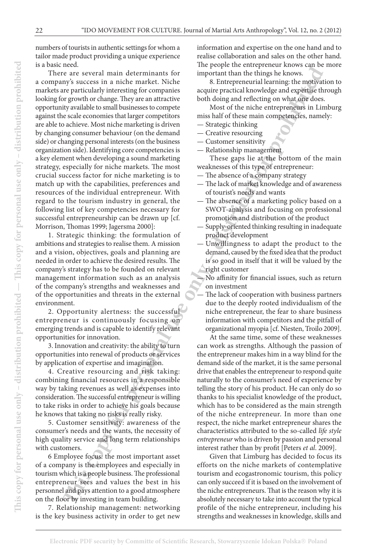numbers of tourists in authentic settings for whom a tailor made product providing a unique experience is a basic need.

**The act secure and set of the individue state in the set of the set of the set of the set of the set of the set of the set of the set of the set of the set of the set of the set of the set of the set of the set of the set** There are several main determinants for a company's success in a niche market. Niche markets are particularly interesting for companies looking for growth or change. They are an attractive opportunity available to small businesses to compete against the scale economies that larger competitors are able to achieve. Most niche marketing is driven by changing consumer behaviour (on the demand side) or changing personal interests (on the business organization side). Identifying core competencies is a key element when developing a sound marketing strategy, especially for niche markets. The most crucial success factor for niche marketing is to match up with the capabilities, preferences and resources of the individual entrepreneur. With regard to the tourism industry in general, the following list of key competencies necessary for successful entrepreneurship can be drawn up [cf. Morrison, Thomas 1999; Jagersma 2000]:

1. Strategic thinking: the formulation of ambitions and strategies to realise them. A mission and a vision, objectives, goals and planning are needed in order to achieve the desired results. The company's strategy has to be founded on relevant management information such as an analysis of the company's strengths and weaknesses and of the opportunities and threats in the external environment.

2. Opportunity alertness: the successful entrepreneur is continuously focusing on emerging trends and is capable to identify relevant opportunities for innovation.

3. Innovation and creativity: the ability to turn opportunities into renewal of products or services by application of expertise and imagination.

4. Creative resourcing and risk taking: combining financial resources in a responsible way by taking revenues as well as expenses into consideration. The successful entrepreneur is willing to take risks in order to achieve his goals because he knows that taking no risks is really risky.

5. Customer sensitivity: awareness of the consumer's needs and the wants, the necessity of high quality service and long term relationships with customers.

6 Employee focus: the most important asset of a company is the employees and especially in tourism which is a people business. The professional entrepreneur sees and values the best in his personnel and pays attention to a good atmosphere on the floor by investing in team building.

7. Relationship management: networking is the key business activity in order to get new

information and expertise on the one hand and to realise collaboration and sales on the other hand. The people the entrepreneur knows can be more important than the things he knows.

8. Entrepreneurial learning: the motivation to acquire practical knowledge and expertise through both doing and reflecting on what one does.

Most of the niche entrepreneurs in Limburg miss half of these main competencies, namely:

- Strategic thinking
- Creative resourcing
- Customer sensitivity
- Relationship management

These gaps lie at the bottom of the main weaknesses of this type of entrepreneur:

- The absence of a company strategy
- The lack of market knowledge and of awareness of tourist's needs and wants
- The absence of a marketing policy based on a SWOT-analysis and focusing on professional promotion and distribution of the product
- Supply-oriented thinking resulting in inadequate product development
- Unwillingness to adapt the product to the demand, caused by the fixed idea that the product is so good in itself that it will be valued by the right customer

— No affinity for financial issues, such as return on investment

The lack of cooperation with business partners due to the deeply rooted individualism of the niche entrepreneur, the fear to share business information with competitors and the pitfall of organizational myopia [cf. Niesten, Troilo 2009].

At the same time, some of these weaknesses can work as strengths. Although the passion of the entrepreneur makes him in a way blind for the demand side of the market, it is the same personal drive that enables the entrepreneur to respond quite naturally to the consumer's need of experience by telling the story of his product. He can only do so thanks to his specialist knowledge of the product, which has to be considered as the main strength of the niche entrepreneur. In more than one respect, the niche market entrepreneur shares the characteristics attributed to the so-called *life style entrepreneur* who is driven by passion and personal interest rather than by profit [Peters *et al*. 2009].

Given that Limburg has decided to focus its efforts on the niche markets of contemplative tourism and ecogastronomic tourism, this policy can only succeed if it is based on the involvement of the niche entrepreneurs. That is the reason why it is absolutely necessary to take into account the typical profile of the niche entrepreneur, including his strengths and weaknesses in knowledge, skills and

**This copy for personal use only – distribution prohibited — This copy for personal use only – distribution prohibited**

This copy for personal use only – distribution prohibited  $-$  This copy for personal use only – distribution prohibited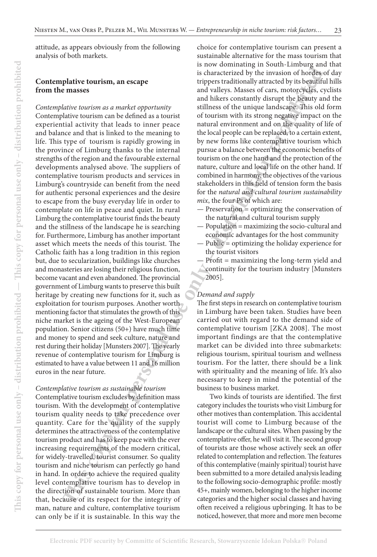attitude, as appears obviously from the following analysis of both markets.

## **Contemplative tourism, an escape from the masses**

**phatric tourism, an escape**<br> **This coharacted by the meanse of the constrained by the constrained by the constrained of the meanse<br>
<b>This constrained an an entire to perform any diffuses of the unique distribution by the** *Contemplative tourism as a market opportunity* Contemplative tourism can be defined as a tourist experiential activity that leads to inner peace and balance and that is linked to the meaning to life. This type of tourism is rapidly growing in the province of Limburg thanks to the internal strengths of the region and the favourable external developments analysed above. The suppliers of contemplative tourism products and services in Limburg's countryside can benefit from the need for authentic personal experiences and the desire to escape from the busy everyday life in order to contemplate on life in peace and quiet. In rural Limburg the contemplative tourist finds the beauty and the stillness of the landscape he is searching for. Furthermore, Limburg has another important asset which meets the needs of this tourist. The Catholic faith has a long tradition in this region but, due to secularization, buildings like churches and monasteries are losing their religious function, become vacant and even abandoned. The provincial government of Limburg wants to preserve this built heritage by creating new functions for it, such as exploitation for tourism purposes. Another worth mentioning factor that stimulates the growth of this niche market is the ageing of the West-European population. Senior citizens (50+) have much time and money to spend and seek culture, nature and rest during their holiday [Munsters 2007]. The yearly revenue of contemplative tourism for Limburg is estimated to have a value between 11 and 16 million euros in the near future.

#### *Contemplative tourism as sustainable tourism*

Contemplative tourism excludes by definition mass tourism. With the development of contemplative tourism quality needs to take precedence over quantity. Care for the quality of the supply determines the attractiveness of the contemplative tourism product and has to keep pace with the ever increasing requirements of the modern critical, for widely-travelled, tourist consumer. So quality tourism and niche tourism can perfectly go hand in hand. In order to achieve the required quality level contemplative tourism has to develop in the direction of sustainable tourism. More than that, because of its respect for the integrity of man, nature and culture, contemplative tourism can only be if it is sustainable. In this way the

choice for contemplative tourism can present a sustainable alternative for the mass tourism that is now dominating in South-Limburg and that is characterized by the invasion of hordes of day trippers traditionally attracted by its beautiful hills and valleys. Masses of cars, motorcycles, cyclists and hikers constantly disrupt the beauty and the stillness of the unique landscape. This old form of tourism with its strong negative impact on the natural environment and on the quality of life of the local people can be replaced, to a certain extent, by new forms like contemplative tourism which pursue a balance between the economic benefits of tourism on the one hand and the protection of the nature, culture and local life on the other hand. If combined in harmony, the objectives of the various stakeholders in this field of tension form the basis for the *natural and cultural tourism sustainability mix*, the four Ps of which are:

- Preservation = optimizing the conservation of the natural and cultural tourism supply
- Population = maximizing the socio-cultural and economic advantages for the host community
- Public = optimizing the holiday experience for the tourist visitors
- Profit  $=$  maximizing the long-term yield and continuity for the tourism industry [Munsters 2005].

#### *Demand and supply*

The first steps in research on contemplative tourism in Limburg have been taken. Studies have been carried out with regard to the demand side of contemplative tourism [ZKA 2008]. The most important findings are that the contemplative market can be divided into three submarkets: religious tourism, spiritual tourism and wellness tourism. For the latter, there should be a link with spirituality and the meaning of life. It's also necessary to keep in mind the potential of the business to business market.

Two kinds of tourists are identified. The first category includes the tourists who visit Limburg for other motives than contemplation. This accidental tourist will come to Limburg because of the landscape or the cultural sites. When passing by the contemplative offer, he will visit it. The second group of tourists are those whose actively seek an offer related to contemplation and reflection. The features of this contemplative (mainly spiritual) tourist have been submitted to a more detailed analysis leading to the following socio-demographic profile: mostly 45+, mainly women, belonging to the higher income categories and the higher social classes and having often received a religious upbringing. It has to be noticed, however, that more and more men become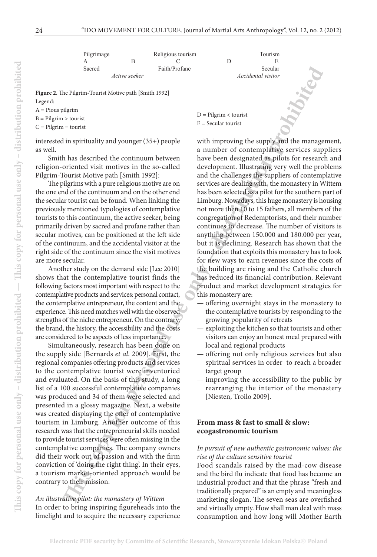| Pilgrimage    | Religious tourism |               | Tourism |                           |
|---------------|-------------------|---------------|---------|---------------------------|
|               |                   |               |         |                           |
| Sacred        |                   | Faith/Profane |         | Secular                   |
| Active seeker |                   |               |         | <i>Accidental visitor</i> |

**Figure 2.** The Pilgrim-Tourist Motive path [Smith 1992] Legend:

A = Pious pilgrim

 $B =$  Pilgrim  $>$  tourist

 $C =$  Pilgrim = tourist

interested in spirituality and younger (35+) people as well.

Smith has described the continuum between religion-oriented visit motives in the so-called Pilgrim-Tourist Motive path [Smith 1992]:

The pilgrims with a pure religious motive are on the one end of the continuum and on the other end the secular tourist can be found. When linking the previously mentioned typologies of contemplative tourists to this continuum, the active seeker, being primarily driven by sacred and profane rather than secular motives, can be positioned at the left side of the continuum, and the accidental visitor at the right side of the continuum since the visit motives are more secular.

Another study on the demand side [Lee 2010] shows that the contemplative tourist finds the following factors most important with respect to the contemplative products and services: personal contact, the contemplative entrepreneur, the content and the experience. This need matches well with the observed strengths of the niche entrepreneur. On the contrary, the brand, the history, the accessibility and the costs are considered to be aspects of less importance.

Simultaneously, research has been done on the supply side [Bernards *et al*. 2009]. First, the regional companies offering products and services to the contemplative tourist were inventoried and evaluated. On the basis of this study, a long list of a 100 successful contemplative companies was produced and 34 of them were selected and presented in a glossy magazine. Next, a website was created displaying the offer of contemplative tourism in Limburg. Another outcome of this research was that the entrepreneurial skills needed to provide tourist services were often missing in the contemplative companies. The company owners did their work out of passion and with the firm conviction of 'doing the right thing'. In their eyes, a tourism market-oriented approach would be contrary to their mission.

*An illustrative pilot: the monastery of Wittem* In order to bring inspiring figureheads into the limelight and to acquire the necessary experience

D = Pilgrim < tourist  $E =$  Secular tourist

Stated Arons are<br>det FaithFirstine Secular Controllar (Secular Secular Secular Secular Secular Secular Secular Secular Secular Secular Secular Secular Secular Secular Secular Secular Secular Secular Secular Secular Secula with improving the supply and the management, a number of contemplative services suppliers have been designated as pilots for research and development. Illustrating very well the problems and the challenges the suppliers of contemplative services are dealing with, the monastery in Wittem has been selected as a pilot for the southern part of Limburg. Nowadays, this huge monastery is housing not more then 10 to 15 fathers, all members of the congregation of Redemptorists, and their number continues to decrease. The number of visitors is anything between 150.000 and 180.000 per year, but it is declining. Research has shown that the foundation that exploits this monastery has to look for new ways to earn revenues since the costs of the building are rising and the Catholic church has reduced its financial contribution. Relevant product and market development strategies for this monastery are:

- offering overnight stays in the monastery to the contemplative tourists by responding to the growing popularity of retreats
- exploiting the kitchen so that tourists and other visitors can enjoy an honest meal prepared with local and regional products
- offering not only religious services but also spiritual services in order to reach a broader target group
- improving the accessibility to the public by rearranging the interior of the monastery [Niesten, Troilo 2009].

## **From mass & fast to small & slow: ecogastronomic tourism**

#### *In pursuit of new authentic gastronomic values: the rise of the culture sensitive tourist*

Food scandals raised by the mad-cow disease and the bird flu indicate that food has become an industrial product and that the phrase "fresh and traditionally prepared" is an empty and meaningless marketing slogan. The seven seas are overfished and virtually empty. How shall man deal with mass consumption and how long will Mother Earth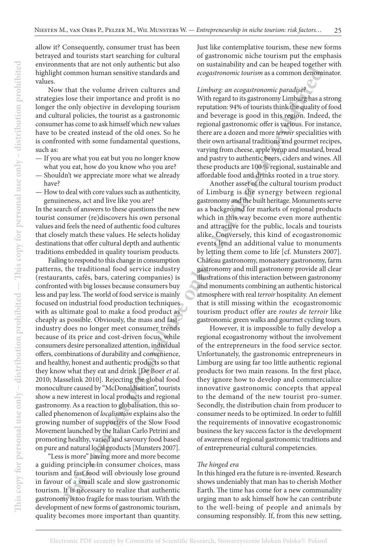allow it? Consequently, consumer trust has been betrayed and tourists start searching for cultural environments that are not only authentic but also highlight common human sensitive standards and values.

Now that the volume driven cultures and strategies lose their importance and profit is no longer the only objective in developing tourism and cultural policies, the tourist as a gastronomic consumer has come to ask himself which new values have to be created instead of the old ones. So he is confronted with some fundamental questions, such as:

- If you are what you eat but you no longer know what you eat, how do you know who you are?
- Shouldn't we appreciate more what we already have?
- How to deal with core values such as authenticity, genuineness, act and live like you are?

In the search of answers to these questions the new tourist consumer (re)discovers his own personal values and feels the need of authentic food cultures that closely match these values. He selects holiday destinations that offer cultural depth and authentic traditions embedded in quality tourism products.

**The control of the set of the set of the set of the set of the set of the set of the set of the set of the set of the set of the set of the set of the set of the set of the set of the set of the set of the set of the set** Failing to respond to this change in consumption patterns, the traditional food service industry (restaurants, cafés, bars, catering companies) is confronted with big losses because consumers buy less and pay less. The world of food service is mainly focused on industrial food production techniques with as ultimate goal to make a food product as cheaply as possible. Obviously, the mass and fastindustry does no longer meet consumer trends because of its price and cost-driven focus, while consumers desire personalized attention, individual offers, combinations of durability and convenience, and healthy, honest and authentic products so that they know what they eat and drink [De Boer *et al*. 2010; Masselink 2010]. Rejecting the global food monoculture caused by "McDonaldisation", tourists show a new interest in local products and regional gastronomy. As a reaction to globalisation, this socalled phenomenon of *localisation* explains also the growing number of supporters of the Slow Food Movement launched by the Italian Carlo Petrini and promoting healthy, varied and savoury food based on pure and natural local products [Munsters 2007].

"Less is more" having more and more become a guiding principle in consumer choices, mass tourism and fast food will obviously lose ground in favour of a small scale and slow gastronomic tourism. It is necessary to realize that authentic gastronomy is too fragile for mass tourism. With the development of new forms of gastronomic tourism, quality becomes more important than quantity. Just like contemplative tourism, these new forms of gastronomic niche tourism put the emphasis on sustainability and can be heaped together with *ecogastronomic tourism* as a common denominator.

#### *Limburg: an ecogastronomic paradise?*

With regard to its gastronomy Limburg has a strong reputation: 94% of tourists think the quality of food and beverage is good in this region. Indeed, the regional gastronomic offer is various. For instance, there are a dozen and more *terroir* specialities with their own artisanal traditions and gourmet recipes, varying from cheese, apple syrup and mustard, bread and pastry to authentic beers, ciders and wines. All these products are 100 % regional, sustainable and affordable food and drinks rooted in a true story.

Another asset of the cultural tourism product of Limburg is the synergy between regional gastronomy and the built heritage. Monuments serve as a background for markets of regional products which in this way become even more authentic and attractive for the public, locals and tourists alike. Conversely, this kind of ecogastronomic events lend an additional value to monuments by letting them come to life [cf. Munsters 2007]. Château gastronomy, monastery gastronomy, farm gastronomy and mill gastronomy provide all clear illustrations of this interaction between gastronomy and monuments combining an authentic historical atmosphere with real *terroir* hospitality. An element that is still missing within the ecogastronomic tourism product offer are *routes de terroir* like gastronomic green walks and gourmet cycling tours.

However, it is impossible to fully develop a regional ecogastronomy without the involvement of the entrepreneurs in the food service sector. Unfortunately, the gastronomic entrepreneurs in Limburg are using far too little authentic regional products for two main reasons. In the first place, they ignore how to develop and commercialize innovative gastronomic concepts that appeal to the demand of the new tourist pro-sumer. Secondly, the distribution chain from producer to consumer needs to be optimized. In order to fulfill the requirements of innovative ecogastronomic business the key success factor is the development of awareness of regional gastronomic traditions and of entrepreneurial cultural competencies.

#### *The hinged era*

In this hinged era the future is re-invented. Research shows undeniably that man has to cherish Mother Earth. The time has come for a new communality urging man to ask himself how he can contribute to the well-being of people and animals by consuming responsibly. If, from this new setting,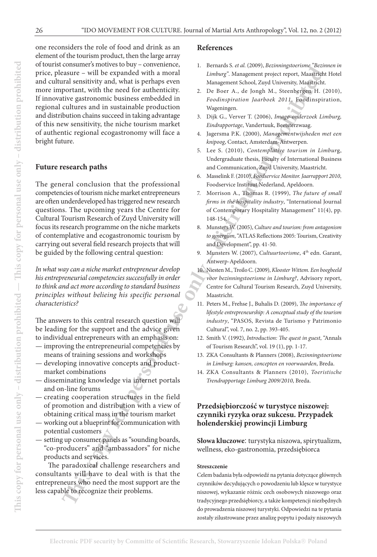**EXERCUS DESCRIPS (2001)** Amount Constraine Constraine Constraine Constraine Constraine Constraine (2010)<br>
The reported with the need for anthronic protesting and distribution protesting and a susting the set of the media one reconsiders the role of food and drink as an element of the tourism product, then the large array of tourist consumer's motives to buy – convenience, price, pleasure – will be expanded with a moral and cultural sensitivity and, what is perhaps even more important, with the need for authenticity. If innovative gastronomic business embedded in regional cultures and in sustainable production and distribution chains succeed in taking advantage of this new sensitivity, the niche tourism market of authentic regional ecogastronomy will face a bright future.

## **Future research paths**

The general conclusion that the professional competencies of tourism niche market entrepreneurs are often underdeveloped has triggered new research questions. The upcoming years the Centre for Cultural Tourism Research of Zuyd University will focus its research programme on the niche markets of contemplative and ecogastronomic tourism by carrying out several field research projects that will be guided by the following central question:

*In what way can a niche market entrepreneur develop his entrepreneurial competencies successfully in order to think and act more according to standard business principles without belieing his specific personal characteristics?* 

The answers to this central research question will be leading for the support and the advice given to individual entrepreneurs with an emphasis on:

- improving the entrepreneurial competencies by means of training sessions and workshops
- developing innovative concepts and productmarket combinations
- disseminating knowledge via internet portals and on-line forums
- creating cooperation structures in the field of promotion and distribution with a view of obtaining critical mass in the tourism market
- working out a blueprint for communication with potential customers
- setting up consumer panels as "sounding boards, "co-producers" and "ambassadors" for niche products and services.

The paradoxical challenge researchers and consultants will have to deal with is that the entrepreneurs who need the most support are the less capable to recognize their problems.

#### **References**

- 1. Bernards S*. et al.* (2009), *Bezinningstoerisme "Bezinnen in Limburg"*. Management project report, Maastricht Hotel Management School, Zuyd University, Maastricht.
- 2. De Boer A., de Jongh M., Steenbergen H. (2010), *Foodinspiration Jaarboek 2011*, Foodinspiration, Wageningen.
- 3. Dijk G., Verver T. (2006), *Imago-onderzoek Limburg, Eindrapportage*, Vandertuuk, Beetsterzwaag.
- 4. Jagersma P.K. (2000), *Managementwijsheden met een knipoog*, Contact, Amsterdam-Antwerpen.
- 5. Lee S. (2010), *Contemplative tourism in Limbur*g, Undergraduate thesis, Faculty of International Business and Communication, Zuyd University, Maastricht.
- 6. Masselink F. (2010), *Foodservice Monitor. Jaarrapport 2010*, Foodservice Instituut Nederland, Apeldoorn.
- 7. Morrison A., Thomas R. (1999), *The future of small firms in the hospitality industry*, "International Journal of Contemporary Hospitality Management" 11(4), pp. 148-154.
- 8. Munsters W. (2005), *Culture and tourism: from antagonism to synergism*, "ATLAS Reflections 2005: Tourism, Creativity and Development", pp. 41-50.
- 9. Munsters W. (2007), *Cultuurtoerisme*, 4<sup>th</sup> edn. Garant, Antwerp-Apeldoorn.
- 10. Niesten M., Troilo C. (2009), *Klooster Wittem. Een boegbeeld voor bezinningstoerisme in Limburg?*, Advisory report, Centre for Cultural Tourism Research, Zuyd University, Maastricht.
- 11. Peters M., Frehse J., Buhalis D. (2009), *The importance of lifestyle entrepreneurship: A conceptual study of the tourism industry*, "PASOS, Revista de Turismo y Patrimonio Cultural", vol. 7, no. 2, pp. 393-405.
- 12. Smith V. (1992), *Introduction: The quest in guest*, "Annals of Tourism Research", vol. 19 (1), pp. 1-17.
- 13. ZKA Consultants & Planners (2008), *Bezinningstoerisme in Limburg: kansen, concepten en voorwaarden*, Breda.
- 14. ZKA Consultants & Planners (2010), *Toeristische Trendrapportage Limburg 2009/2010*, Breda.

# **Przedsiębiorczość w turystyce niszowej: czynniki ryzyka oraz sukcesu. Przypadek holenderskiej prowincji Limburg**

**Słowa kluczowe**: turystyka niszowa, spirytualizm, wellness, eko-gastronomia, przedsiębiorca

#### **Streszczenie**

Celem badania była odpowiedź na pytania dotyczące głównych czynników decydujących o powodzeniu lub klęsce w turystyce niszowej, wykazanie różnic cech osobowych niszowego oraz tradycyjnego przedsiębiorcy, a także kompetencji niezbędnych do prowadzenia niszowej turystyki. Odpowiedzi na te pytania zostały zilustrowane przez analizę popytu i podaży niszowych